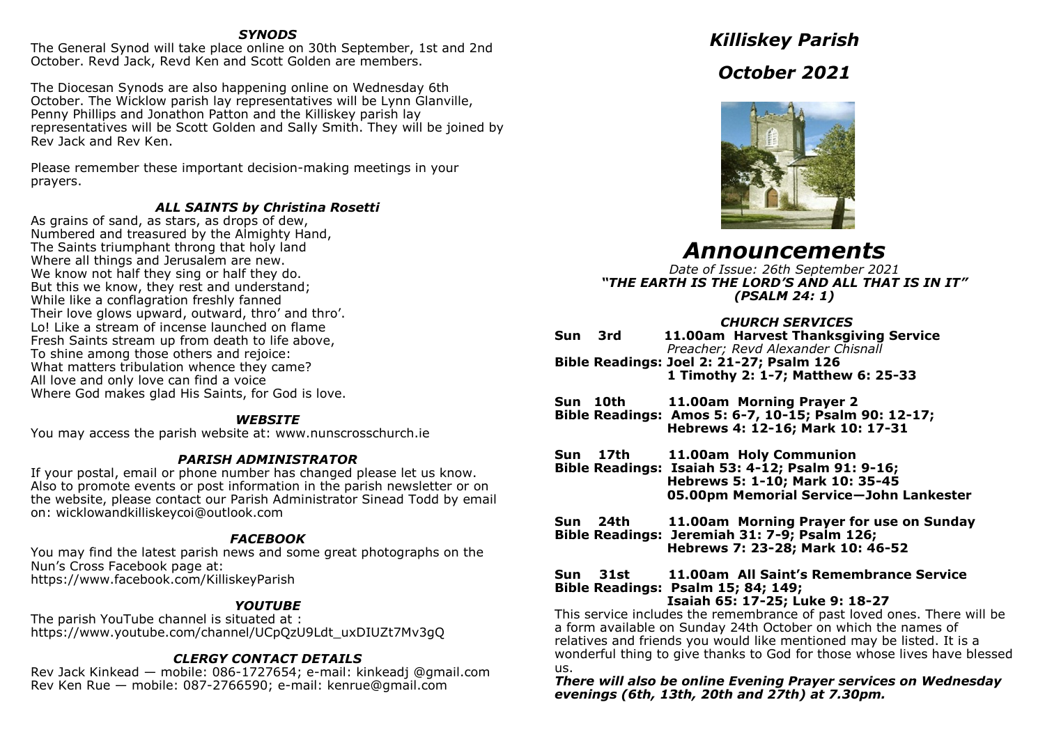# *SYNODS*

The General Synod will take place online on 30th September, 1st and 2nd October. Revd Jack, Revd Ken and Scott Golden are members.

The Diocesan Synods are also happening online on Wednesday 6th October. The Wicklow parish lay representatives will be Lynn Glanville, Penny Phillips and Jonathon Patton and the Killiskey parish lay representatives will be Scott Golden and Sally Smith. They will be joined by Rev Jack and Rev Ken.

Please remember these important decision-making meetings in your prayers.

# *ALL SAINTS by Christina Rosetti*

As grains of sand, as stars, as drops of dew, Numbered and treasured by the Almighty Hand, The Saints triumphant throng that holy land Where all things and Jerusalem are new. We know not half they sing or half they do. But this we know, they rest and understand; While like a conflagration freshly fanned Their love glows upward, outward, thro' and thro'. Lo! Like a stream of incense launched on flame Fresh Saints stream up from death to life above, To shine among those others and rejoice: What matters tribulation whence they came? All love and only love can find a voice Where God makes glad His Saints, for God is love.

## *WEBSITE*

You may access the parish website at: www.nunscrosschurch.ie

# *PARISH ADMINISTRATOR*

If your postal, email or phone number has changed please let us know. Also to promote events or post information in the parish newsletter or on the website, please contact our Parish Administrator Sinead Todd by email on: wicklowandkilliskeycoi@outlook.com

# *FACEBOOK*

You may find the latest parish news and some great photographs on the Nun's Cross Facebook page at: https://www.facebook.com/KilliskeyParish

# *YOUTUBE*

The parish YouTube channel is situated at : https://www.youtube.com/channel/UCpQzU9Ldt\_uxDIUZt7Mv3gQ

# *CLERGY CONTACT DETAILS*

Rev Jack Kinkead — mobile: 086-1727654; e-mail: kinkeadj @gmail.com Rev Ken Rue — mobile: 087-2766590; e-mail: kenrue@gmail.com

*Killiskey Parish October 2021*



# *Announcements*

*Date of Issue: 26th September 2021 "THE EARTH IS THE LORD'S AND ALL THAT IS IN IT" (PSALM 24: 1)*

# *CHURCH SERVICES*

| Sun | - 3rd                                    |  | 11.00am Harvest Thanksgiving Service |
|-----|------------------------------------------|--|--------------------------------------|
|     |                                          |  | Preacher; Revd Alexander Chisnall    |
|     | Bible Readings: Joel 2: 21-27; Psalm 126 |  |                                      |
|     |                                          |  | 1 Timothy 2: 1-7; Matthew 6: 25-33   |

**Sun 10th 11.00am Morning Prayer 2 Bible Readings: Amos 5: 6-7, 10-15; Psalm 90: 12-17; Hebrews 4: 12-16; Mark 10: 17-31**

**Sun 17th 11.00am Holy Communion**

**Bible Readings: Isaiah 53: 4-12; Psalm 91: 9-16; Hebrews 5: 1-10; Mark 10: 35-45 05.00pm Memorial Service—John Lankester**

**Sun 24th 11.00am Morning Prayer for use on Sunday Bible Readings: Jeremiah 31: 7-9; Psalm 126; Hebrews 7: 23-28; Mark 10: 46-52**

#### **Sun 31st 11.00am All Saint's Remembrance Service Bible Readings: Psalm 15; 84; 149; Isaiah 65: 17-25; Luke 9: 18-27**

This service includes the remembrance of past loved ones. There will be a form available on Sunday 24th October on which the names of relatives and friends you would like mentioned may be listed. It is a wonderful thing to give thanks to God for those whose lives have blessed us.

*There will also be online Evening Prayer services on Wednesday evenings (6th, 13th, 20th and 27th) at 7.30pm.*